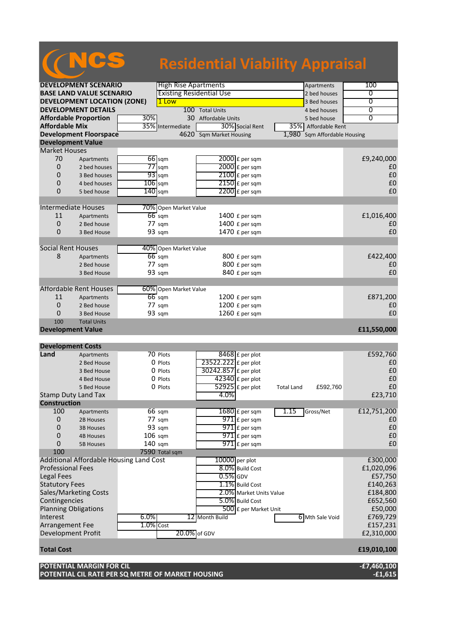# NCS **Residential Viability Appraisal**

| <b>DEVELOPMENT SCENARIO</b>         |                                         |                     | <b>High Rise Apartments</b>     |                         |                          | Apartments        | 100                          |                                               |
|-------------------------------------|-----------------------------------------|---------------------|---------------------------------|-------------------------|--------------------------|-------------------|------------------------------|-----------------------------------------------|
| <b>BASE LAND VALUE SCENARIO</b>     |                                         |                     | <b>Existing Residential Use</b> |                         |                          |                   | 2 bed houses                 | 0                                             |
| <b>DEVELOPMENT LOCATION (ZONE)</b>  |                                         |                     | 1 Low                           |                         |                          |                   | 3 Bed houses                 | $\overline{0}$                                |
| <b>DEVELOPMENT DETAILS</b>          |                                         |                     | 100 Total Units                 |                         |                          |                   | 4 bed houses                 | $\overline{0}$                                |
| 30%<br><b>Affordable Proportion</b> |                                         | 30 Affordable Units |                                 |                         |                          | 5 bed house       | $\overline{0}$               |                                               |
| <b>Affordable Mix</b>               |                                         |                     | 35% Intermediate                |                         | 30% Social Rent          |                   | 35% Affordable Rent          |                                               |
|                                     | <b>Development Floorspace</b>           |                     |                                 | 4620 Sqm Market Housing |                          |                   | 1,980 Sqm Affordable Housing |                                               |
| <b>Development Value</b>            |                                         |                     |                                 |                         |                          |                   |                              |                                               |
| <b>Market Houses</b>                |                                         |                     |                                 |                         |                          |                   |                              |                                               |
| 70                                  | Apartments                              |                     | $66$ sqm                        |                         | $2000$ £ per sqm         |                   |                              | £9,240,000                                    |
| 0                                   | 2 bed houses                            | 77                  | sqm                             |                         | 2000 £ per sqm           |                   |                              | £0                                            |
| 0                                   | 3 Bed houses                            |                     | $93$ sqm                        |                         | $2100$ £ per sqm         |                   |                              | £0                                            |
| 0                                   | 4 bed houses                            | $106$ sqm           |                                 |                         | $2150$ £ per sqm         |                   |                              | £0                                            |
| 0                                   | 5 bed house                             | 140                 | sqm                             |                         | $2200$ £ per sqm         |                   |                              | £0                                            |
|                                     |                                         |                     |                                 |                         |                          |                   |                              |                                               |
|                                     |                                         |                     |                                 |                         |                          |                   |                              |                                               |
| <b>Intermediate Houses</b>          |                                         |                     | 70% Open Market Value           |                         |                          |                   |                              |                                               |
| 11                                  | Apartments                              |                     | $66$ sqm                        |                         | 1400 £ per sqm           |                   |                              | £1,016,400                                    |
| 0                                   | 2 Bed house                             |                     | 77 sqm                          |                         | 1400 £ per sqm           |                   |                              | £0                                            |
| 0                                   | 3 Bed House                             |                     | 93 sqm                          |                         | 1470 £ per sqm           |                   |                              | £0                                            |
|                                     |                                         |                     |                                 |                         |                          |                   |                              |                                               |
| <b>Social Rent Houses</b>           |                                         |                     | 40% Open Market Value           |                         |                          |                   |                              |                                               |
| 8                                   | Apartments                              |                     | $66 \text{ sqm}$                |                         | 800 £ per sqm            |                   |                              | £422,400                                      |
|                                     | 2 Bed house                             |                     | 77 sqm                          |                         | 800 £ per sqm            |                   |                              | £0                                            |
|                                     | 3 Bed House                             |                     | 93 sqm                          |                         | 840 £ per sqm            |                   |                              | £0                                            |
|                                     |                                         |                     |                                 |                         |                          |                   |                              |                                               |
|                                     | <b>Affordable Rent Houses</b>           |                     | 60% Open Market Value           |                         |                          |                   |                              |                                               |
| 11                                  | Apartments                              |                     | $66$ sqm                        |                         | $1200$ £ per sqm         |                   |                              | £871,200                                      |
| 0                                   | 2 Bed house                             |                     | 77 sqm                          |                         | 1200 £ per sqm           |                   |                              | £0                                            |
| 0                                   | 3 Bed House                             |                     | 93 sqm                          |                         | 1260 £ per sqm           |                   |                              | £0                                            |
| 100                                 | <b>Total Units</b>                      |                     |                                 |                         |                          |                   |                              |                                               |
| <b>Development Value</b>            |                                         |                     |                                 |                         |                          |                   |                              | £11,550,000                                   |
|                                     |                                         |                     |                                 |                         |                          |                   |                              |                                               |
| <b>Development Costs</b>            |                                         |                     |                                 |                         |                          |                   |                              |                                               |
| Land                                | Apartments                              |                     | 70 Plots                        |                         | 8468 £ per plot          |                   |                              | £592,760                                      |
|                                     | 2 Bed House                             |                     | 0 Plots                         | 23522.222 £ per plot    |                          |                   |                              | £0                                            |
|                                     | 3 Bed House                             |                     | 0 Plots                         | 30242.857 £ per plot    |                          |                   |                              | £0                                            |
|                                     | 4 Bed House                             |                     | 0 Plots                         |                         | $42340$ £ per plot       |                   |                              | £0                                            |
|                                     | 5 Bed House                             |                     | 0 Plots                         |                         |                          |                   |                              |                                               |
| <b>Stamp Duty Land Tax</b>          |                                         |                     |                                 |                         |                          |                   |                              |                                               |
|                                     |                                         |                     |                                 |                         | 52925 £ per plot         | <b>Total Land</b> | £592,760                     | £0                                            |
|                                     |                                         |                     |                                 | 4.0%                    |                          |                   |                              | £23,710                                       |
| <b>Construction</b>                 |                                         |                     |                                 |                         |                          |                   |                              |                                               |
| 100                                 | Apartments                              |                     | 66 sqm                          |                         | $1680 \text{ f}$ per sqm | 1.15              | Gross/Net                    | £12,751,200                                   |
| 0                                   | 2B Houses                               |                     | 77 sqm                          |                         | 971 £ per sqm            |                   |                              | £0                                            |
| 0                                   | <b>3B Houses</b>                        |                     | 93 sqm                          |                         | $971$ E per sqm          |                   |                              | £0                                            |
| 0                                   | <b>4B Houses</b>                        | $106$ sqm           |                                 |                         | $971$ £ per sqm          |                   |                              | £0                                            |
| 0                                   | <b>5B Houses</b>                        | 140 sqm             |                                 |                         | $971$ £ per sqm          |                   |                              | £0                                            |
| 100                                 |                                         |                     | 7590 Total sqm                  |                         |                          |                   |                              |                                               |
|                                     | Additional Affordable Housing Land Cost |                     |                                 | 10000 per plot          |                          |                   |                              | £300,000                                      |
| <b>Professional Fees</b>            |                                         |                     |                                 |                         | 8.0% Build Cost          |                   |                              | £1,020,096                                    |
| <b>Legal Fees</b>                   |                                         |                     |                                 | $0.5\%$ GDV             |                          |                   |                              |                                               |
|                                     |                                         |                     |                                 |                         | 1.1% Build Cost          |                   |                              |                                               |
| <b>Statutory Fees</b>               |                                         |                     |                                 |                         |                          |                   |                              | £184,800                                      |
|                                     | Sales/Marketing Costs                   |                     |                                 |                         | 2.0% Market Units Value  |                   |                              |                                               |
| Contingencies                       |                                         |                     |                                 |                         | 5.0% Build Cost          |                   |                              | £652,560                                      |
| <b>Planning Obligations</b>         |                                         |                     |                                 |                         | 500 £ per Market Unit    |                   |                              | £50,000                                       |
| Interest                            |                                         | 6.0%                |                                 | 12 Month Build          |                          |                   | 6 Mth Sale Void              |                                               |
| Arrangement Fee                     |                                         | 1.0% Cost           |                                 |                         |                          |                   |                              | £157,231                                      |
| Development Profit                  |                                         |                     | 20.0% of GDV                    |                         |                          |                   |                              | £57,750<br>£140,263<br>£769,729<br>£2,310,000 |
|                                     |                                         |                     |                                 |                         |                          |                   |                              |                                               |
| <b>Total Cost</b>                   |                                         |                     |                                 |                         |                          |                   |                              | £19,010,100                                   |
|                                     | POTENTIAL MARGIN FOR CIL                |                     |                                 |                         |                          |                   |                              | $-£7,460,100$                                 |

**POTENTIAL CIL RATE PER SQ METRE OF MARKET HOUSING -£1,615**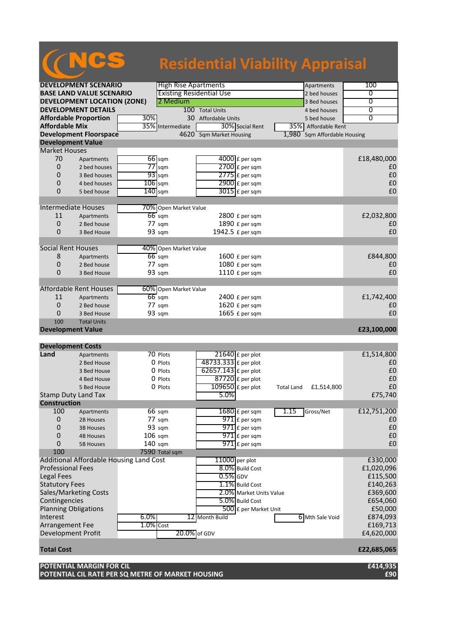| <b>Residential Viability Appraisal</b> |                                         |           |                                 |                                |                                 |                   |  |
|----------------------------------------|-----------------------------------------|-----------|---------------------------------|--------------------------------|---------------------------------|-------------------|--|
|                                        |                                         |           |                                 |                                |                                 |                   |  |
| <b>DEVELOPMENT SCENARIO</b>            |                                         |           | <b>High Rise Apartments</b>     |                                | Apartments                      | 100               |  |
| <b>BASE LAND VALUE SCENARIO</b>        |                                         |           | <b>Existing Residential Use</b> |                                | 2 bed houses                    | 0                 |  |
| <b>DEVELOPMENT LOCATION (ZONE)</b>     |                                         |           | 2 Medium                        |                                | 3 Bed houses                    | $\overline{0}$    |  |
| <b>DEVELOPMENT DETAILS</b>             |                                         |           |                                 | 100 Total Units                | 4 bed houses                    | 0                 |  |
| <b>Affordable Proportion</b><br>30%    |                                         |           |                                 | 30 Affordable Units            | 5 bed house                     | $\overline{0}$    |  |
| <b>Affordable Mix</b>                  |                                         |           | 35% Intermediate                | 30% Social Rent                | 35% Affordable Rent             |                   |  |
|                                        | <b>Development Floorspace</b>           |           | $4620^-$                        | <b>Sqm Market Housing</b>      | Sqm Affordable Housing<br>1,980 |                   |  |
| <b>Development Value</b>               |                                         |           |                                 |                                |                                 |                   |  |
| <b>Market Houses</b>                   |                                         |           |                                 |                                |                                 |                   |  |
| 70                                     | Apartments                              |           | $66$ sqm                        | $4000$ £ per sqm               |                                 | £18,480,000       |  |
| 0                                      | 2 bed houses                            |           | $77$ sqm                        | $2700$ £ per sqm               |                                 | £0                |  |
| 0                                      | 3 Bed houses                            |           | $93$ sqm                        | $2775$ $E$ per sqm             |                                 | £0                |  |
| 0                                      | 4 bed houses                            | $106$ sqm |                                 | 2900 £ per sqm                 |                                 | £0                |  |
| $\overline{0}$                         | 5 bed house                             | $140$ sqm |                                 | $3015$ £ per sqm               |                                 | £0                |  |
|                                        |                                         |           |                                 |                                |                                 |                   |  |
| <b>Intermediate Houses</b>             |                                         |           | 70% Open Market Value           |                                |                                 |                   |  |
| 11                                     | Apartments                              |           | $66$ sqm                        | 2800 £ per sqm                 |                                 | £2,032,800        |  |
| 0                                      | 2 Bed house                             |           | 77 sqm                          | 1890 £ per sqm                 |                                 | £0                |  |
| 0                                      | 3 Bed House                             |           | 93 sqm                          | 1942.5 £ per sqm               |                                 | £0                |  |
|                                        |                                         |           |                                 |                                |                                 |                   |  |
| <b>Social Rent Houses</b>              |                                         |           | 40% Open Market Value           |                                |                                 |                   |  |
| 8                                      | Apartments                              |           | $66$ sqm                        | 1600 £ per sqm                 |                                 | £844,800          |  |
| 0                                      | 2 Bed house                             |           | 77 sqm                          | 1080 £ per sqm                 |                                 | £0                |  |
| 0                                      | 3 Bed House                             |           | 93 sqm                          | 1110 £ per sqm                 |                                 | £0                |  |
|                                        |                                         |           |                                 |                                |                                 |                   |  |
|                                        | Affordable Rent Houses                  |           | 60% Open Market Value           |                                |                                 |                   |  |
| 11                                     |                                         |           | $66$ sqm                        | $2400$ £ per sqm               |                                 | £1,742,400        |  |
| 0                                      | Apartments                              |           |                                 |                                |                                 |                   |  |
| 0                                      | 2 Bed house                             |           | $77 \text{ sqm}$                | 1620 £ per sqm                 |                                 | £0<br>£0          |  |
| 100                                    | 3 Bed House<br><b>Total Units</b>       |           | 93 sqm                          | 1665 £ per sqm                 |                                 |                   |  |
| <b>Development Value</b>               |                                         |           |                                 |                                |                                 | £23,100,000       |  |
|                                        |                                         |           |                                 |                                |                                 |                   |  |
| <b>Development Costs</b>               |                                         |           |                                 |                                |                                 |                   |  |
| Land                                   | Apartments                              |           | 70 Plots                        | $21640$ £ per plot             |                                 | £1,514,800        |  |
|                                        | 2 Bed House                             |           | 0 Plots                         | 48733.333 £ per plot           |                                 | £0                |  |
|                                        | 3 Bed House                             |           | 0 Plots                         | 62657.143 £ per plot           |                                 | £0                |  |
|                                        |                                         |           |                                 | $87720$ £ per plot             |                                 | £0                |  |
|                                        | 4 Bed House                             |           | 0 Plots                         |                                |                                 | $\pmb{\text{f0}}$ |  |
|                                        | 5 Bed House                             |           | 0 Plots                         | $\overline{109650}$ £ per plot | £1,514,800<br><b>Total Land</b> |                   |  |
| <b>Stamp Duty Land Tax</b>             |                                         |           |                                 | 5.0%                           |                                 | £75,740           |  |
| <b>Construction</b>                    |                                         |           |                                 |                                |                                 |                   |  |
| 100                                    | Apartments                              |           | 66 sqm                          | $1680$ £ per sqm               | 1.15<br>Gross/Net               | £12,751,200       |  |
| 0                                      | 2B Houses                               |           | 77 sqm                          | $971$ $E$ per sqm              |                                 | £0                |  |
| 0                                      | <b>3B Houses</b>                        |           | 93 sqm                          | $971$ $E$ per sqm              |                                 | £0                |  |
| 0                                      | <b>4B Houses</b>                        | 106 sqm   |                                 | $971$ $E$ per sqm              |                                 | £0                |  |
| 0                                      | 5B Houses                               | $140$ sqm |                                 | $971$ E per sam                |                                 | £0                |  |
| 100                                    |                                         |           | 7590 Total sqm                  |                                |                                 |                   |  |
|                                        | Additional Affordable Housing Land Cost |           |                                 | $11000$ per plot               |                                 | £330,000          |  |
| <b>Professional Fees</b>               |                                         |           |                                 | 8.0% Build Cost                |                                 | £1,020,096        |  |
| Legal Fees                             |                                         |           |                                 | $0.5%$ GDV                     |                                 | £115,500          |  |
| <b>Statutory Fees</b>                  |                                         |           |                                 | 1.1% Build Cost                |                                 | £140,263          |  |
|                                        | Sales/Marketing Costs                   |           |                                 | 2.0% Market Units Value        |                                 | £369,600          |  |
| Contingencies                          |                                         |           |                                 | 5.0% Build Cost                |                                 | £654,060          |  |
| <b>Planning Obligations</b>            |                                         |           |                                 | 500 £ per Market Unit          |                                 | £50,000           |  |
| Interest                               |                                         | 6.0%      |                                 | 12 Month Build                 | 6 Mth Sale Void                 | £874,093          |  |

Arrangement Fee  $1.0\%$  Cost  $2.0\%$  Cost  $2.0\%$  Cost  $2.0\%$  Cost  $2.0\%$  Cost  $2.0\%$  Cost  $2.0\%$  Cost  $2.0\%$  Cost  $2.0\%$  Cost  $2.0\%$  Cost  $2.0\%$  Cost  $2.0\%$  Cost  $2.0\%$  Cost  $2.0\%$  Cost  $2.0\%$  Cost  $2.0\%$  Cos Development Profit  $\begin{array}{|c|c|c|c|c|}\n\hline\n&20.0\% & \text{of GDV} & \text{for} & \text{if 4,620,000}\n\end{array}$ 

### **Total Cost £22,685,065**

#### **POTENTIAL MARGIN FOR CIL £414,935 POTENTIAL CIL RATE PER SQ METRE OF MARKET HOUSING £90**

| £414,93! |
|----------|
| £9(      |